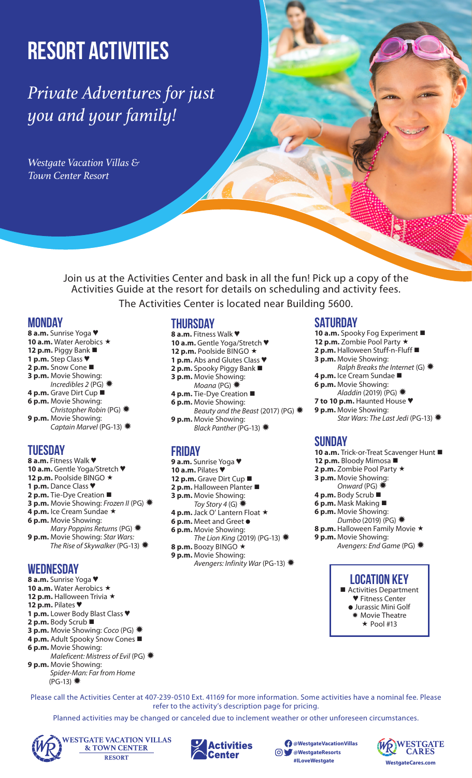# Resort Activities

*Private Adventures for just you and your family!*

*Westgate Vacation Villas & Town Center Resort*

> Join us at the Activities Center and bask in all the fun! Pick up a copy of the Activities Guide at the resort for details on scheduling and activity fees.

The Activities Center is located near Building 5600.

## **Monday**

- **8 a.m.** Sunrise Yoga ♥ 10 a.m. Water Aerobics \* **12 p.m.** Piggy Bank **1 p.m.** Step Class ♥ **2 p.m.** Snow Cone
- **3 p.m.** Movie Showing:
- *Incredibles 2* (PG) ✹
- **4 p.m.** Grave Dirt Cup
- **6 p.m.** Movie Showing:
- *Christopher Robin* (PG) ✹ **9 p.m.** Movie Showing:
- *Captain Marvel* (PG-13) ✹

# **Tuesday**

**8 a.m.** Fitness Walk ♥ **10 a.m.** Gentle Yoga/Stretch ♥ **12 p.m.** Poolside BINGO ★ **1 p.m.** Dance Class ♥ **2 p.m.** Tie-Dye Creation **3 p.m.** Movie Showing: *Frozen II* (PG) ✹ 4 p.m. Ice Cream Sundae \* **6 p.m.** Movie Showing: *Mary Poppins Returns* (PG) ✹ **9 p.m.** Movie Showing: *Star Wars: The Rise of Skywalker* (PG-13) ✹ **Wednesday**

**8 a.m.** Sunrise Yoga ♥ 10 a.m. Water Aerobics \* 12 p.m. Halloween Trivia \* **12 p.m.** Pilates ♥ **1 p.m.** Lower Body Blast Class ♥ **2 p.m.** Body Scrub **3 p.m.** Movie Showing: *Coco* (PG) ✹ **4 p.m.** Adult Spooky Snow Cones ■ **6 p.m.** Movie Showing: *Maleficent: Mistress of Evil* (PG) ✹

**9 p.m.** Movie Showing:  *Spider-Man: Far from Home* (PG-13) ✹

## **Thursday**

- **8 a.m.** Fitness Walk ♥
- **10 a.m.** Gentle Yoga/Stretch ♥
- 12 p.m. Poolside BINGO \* **1 p.m.** Abs and Glutes Class ♥
- **2 p.m.** Spooky Piggy Bank
- **3 p.m.** Movie Showing:
- *Moana* (PG) ✹
- **4 p.m.** Tie-Dye Creation
- **6 p.m.** Movie Showing:
- *Beauty and the Beast* (2017) (PG) ✹ **9 p.m.** Movie Showing:
- *Black Panther* (PG-13) ✹

# **Friday**

- **9 a.m.** Sunrise Yoga ♥
- **10 a.m.** Pilates ♥
- **12 p.m.** Grave Dirt Cup ■
- **2 p.m.** Halloween Planter
- **3 p.m.** Movie Showing:
- *Toy Story 4* (G)✹ **4 p.m.** Jack O' Lantern Float ★
- **6 p.m.** Meet and Greet
- **6 p.m.** Movie Showing:
- *The Lion King* (2019) (PG-13) ✹ 8 p.m. Boozy BINGO \*
- **9 p.m.** Movie Showing: *Avengers: Infinity War* (PG-13) ✹

# **Saturday**

- **10 a.m.** Spooky Fog Experiment 12 p.m. Zombie Pool Party \* **2 p.m.** Halloween Stuff-n-Fluff **3 p.m.** Movie Showing: *Ralph Breaks the Internet* (G)✹ **4 p.m.** Ice Cream Sundae  **6 p.m.** Movie Showing: *Aladdin* (2019) (PG)✹ **7 to 10 p.m.** Haunted House ♥
- **9 p.m.** Movie Showing:
- *Star Wars: The Last Jedi* (PG-13)✹

# **Sunday**

- **10 a.m.** Trick-or-Treat Scavenger Hunt ■
- **12 p.m.** Bloody Mimosa
- 2 p.m. Zombie Pool Party \*
- **3 p.m.** Movie Showing:
	- *Onward* (PG) ✹
- **4 p.m.** Body Scrub ■
- **6 p.m.** Mask Making
- **6 p.m.** Movie Showing:
- *Dumbo* (2019) (PG) ✹
- 8 p.m. Halloween Family Movie \*
- **9 p.m.** Movie Showing:
	- *Avengers: End Game* (PG) ✹

# **Location Key**

- Activities Department
	- ♥ Fitness Center Jurassic Mini Golf
	- ✹ Movie Theatre
	- $\star$  Pool #13

Please call the Activities Center at 407-239-0510 Ext. 41169 for more information. Some activities have a nominal fee. Please refer to the activity's description page for pricing.

Planned activities may be changed or canceled due to inclement weather or other unforeseen circumstances.



**ESTGATE VACATION VILLAS & TOWN CENTER RESORT** 



**@WestgateVacationVillas @WestgateResorts**